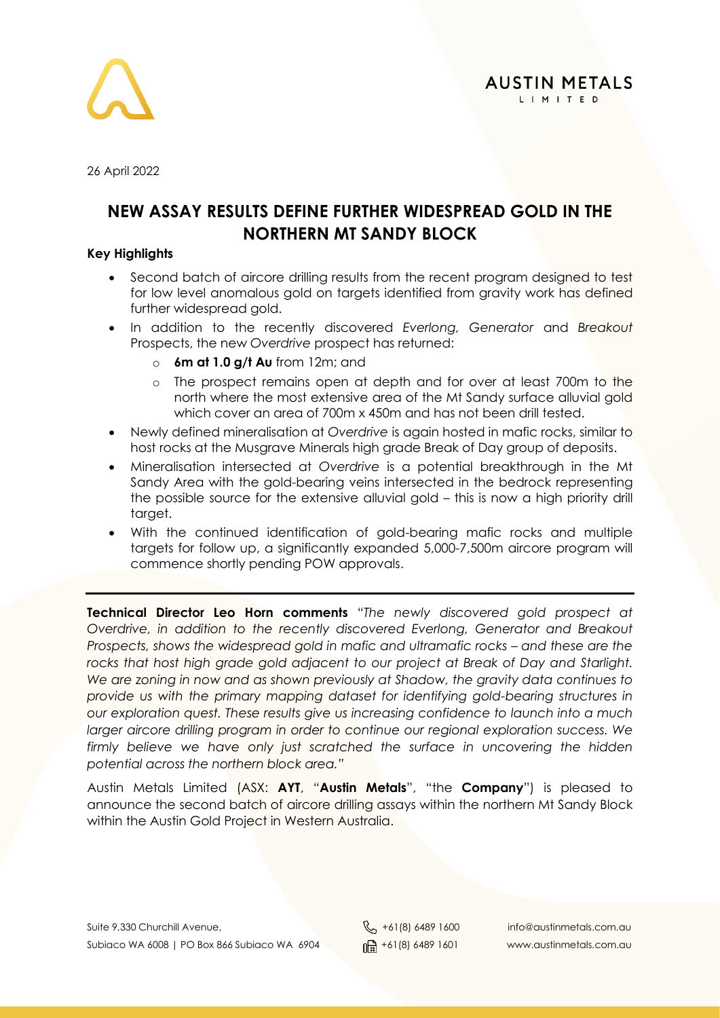



26 April 2022

### **NEW ASSAY RESULTS DEFINE FURTHER WIDESPREAD GOLD IN THE NORTHERN MT SANDY BLOCK**

### **Key Highlights**

- Second batch of aircore drilling results from the recent program designed to test for low level anomalous gold on targets identified from gravity work has defined further widespread gold.
- In addition to the recently discovered *Everlong, Generator* and *Breakout* Prospects, the new *Overdrive* prospect has returned:
	- o **6m at 1.0 g/t Au** from 12m; and
	- o The prospect remains open at depth and for over at least 700m to the north where the most extensive area of the Mt Sandy surface alluvial gold which cover an area of 700m x 450m and has not been drill tested.
- Newly defined mineralisation at *Overdrive* is again hosted in mafic rocks, similar to host rocks at the Musgrave Minerals high grade Break of Day group of deposits.
- Mineralisation intersected at *Overdrive* is a potential breakthrough in the Mt Sandy Area with the gold-bearing veins intersected in the bedrock representing the possible source for the extensive alluvial gold – this is now a high priority drill target.
- With the continued identification of gold-bearing mafic rocks and multiple targets for follow up, a significantly expanded 5,000-7,500m aircore program will commence shortly pending POW approvals.

**Technical Director Leo Horn comments** "*The newly discovered gold prospect at Overdrive, in addition to the recently discovered Everlong, Generator and Breakout Prospects, shows the widespread gold in mafic and ultramafic rocks – and these are the rocks that host high grade gold adjacent to our project at Break of Day and Starlight. We are zoning in now and as shown previously at Shadow, the gravity data continues to provide us with the primary mapping dataset for identifying gold-bearing structures in our exploration quest. These results give us increasing confidence to launch into a much larger aircore drilling program in order to continue our regional exploration success. We firmly believe we have only just scratched the surface in uncovering the hidden potential across the northern block area."*

Austin Metals Limited (ASX: **AYT**, "**Austin Metals**", "the **Company**") is pleased to announce the second batch of aircore drilling assays within the northern Mt Sandy Block within the Austin Gold Project in Western Australia.

Suite 9,330 Churchill Avenue,  $\begin{matrix}8 \\ 101 \end{matrix}$  +61(8) 6489 1600 info@austinmetals.com.au Subiaco WA 6008 | PO Box 866 Subiaco WA 6904  $\lim_{\theta \to 0} +61(8)$  6489 1601 www.austinmetals.com.au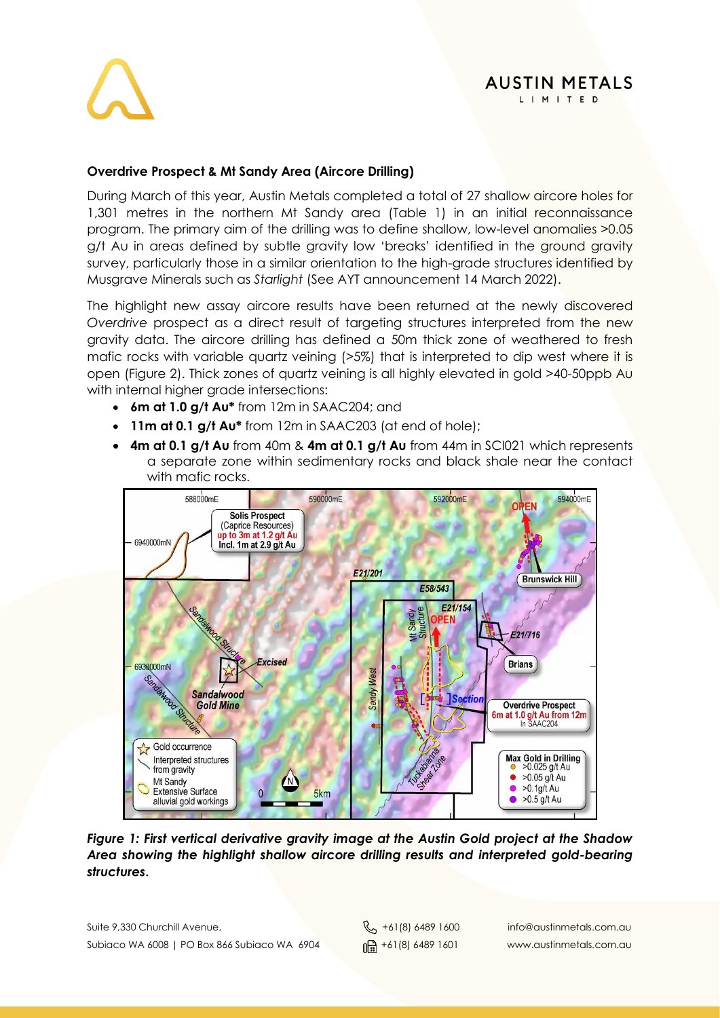

#### **AUSTIN METALS** LIMITED

### **Overdrive Prospect & Mt Sandy Area (Aircore Drilling)**

During March of this year, Austin Metals completed a total of 27 shallow aircore holes for 1,301 metres in the northern Mt Sandy area (Table 1) in an initial reconnaissance program. The primary aim of the drilling was to define shallow, low-level anomalies >0.05 g/t Au in areas defined by subtle gravity low 'breaks' identified in the ground gravity survey, particularly those in a similar orientation to the high-grade structures identified by Musgrave Minerals such as *Starlight* (See AYT announcement 14 March 2022).

The highlight new assay aircore results have been returned at the newly discovered *Overdrive* prospect as a direct result of targeting structures interpreted from the new gravity data. The aircore drilling has defined a 50m thick zone of weathered to fresh mafic rocks with variable quartz veining (>5%) that is interpreted to dip west where it is open (Figure 2). Thick zones of quartz veining is all highly elevated in gold >40-50ppb Au with internal higher grade intersections:

- **6m at 1.0 g/t Au\*** from 12m in SAAC204; and
- **11m at 0.1 g/t Au\*** from 12m in SAAC203 (at end of hole);
- **4m at 0.1 g/t Au** from 40m & **4m at 0.1 g/t Au** from 44m in SCI021 which represents a separate zone within sedimentary rocks and black shale near the contact with mafic rocks.



*Figure 1: First vertical derivative gravity image at the Austin Gold project at the Shadow Area showing the highlight shallow aircore drilling results and interpreted gold-bearing structures***.**

Suite 9,330 Churchill Avenue,  $\begin{matrix}8 \\ 1 \end{matrix}$  +61(8) 6489 1600 info@austinmetals.com.au Subiaco WA 6008 | PO Box 866 Subiaco WA 6904  $\lim_{\theta \to 0} +61(8)$  6489 1601 www.austinmetals.com.au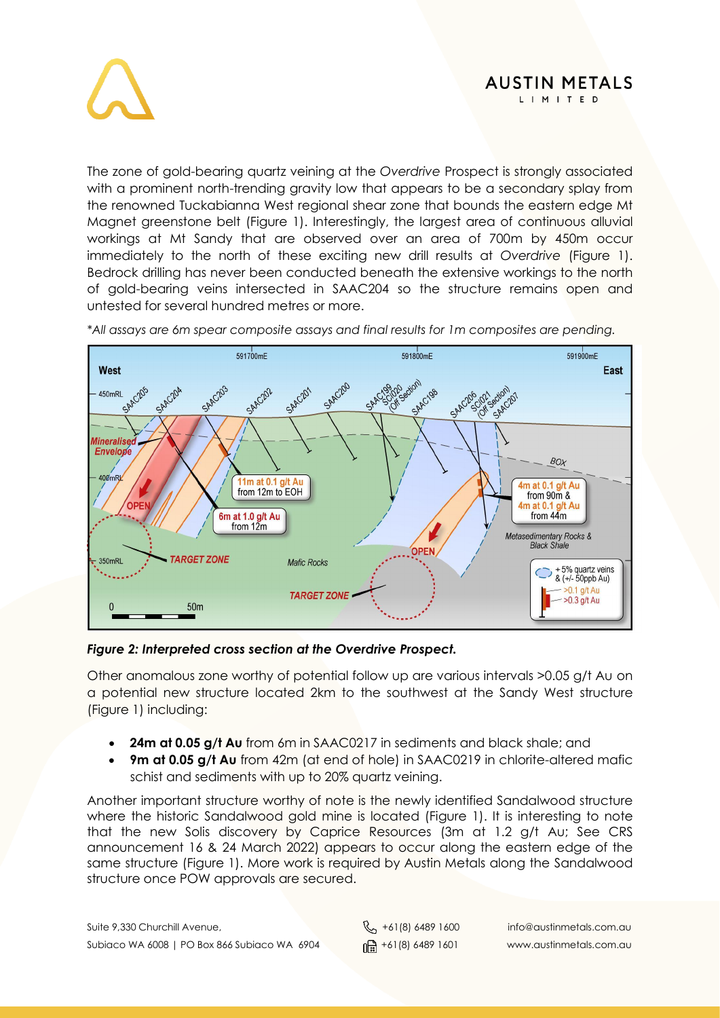



The zone of gold-bearing quartz veining at the *Overdrive* Prospect is strongly associated with a prominent north-trending gravity low that appears to be a secondary splay from the renowned Tuckabianna West regional shear zone that bounds the eastern edge Mt Magnet greenstone belt (Figure 1). Interestingly, the largest area of continuous alluvial workings at Mt Sandy that are observed over an area of 700m by 450m occur immediately to the north of these exciting new drill results at *Overdrive* (Figure 1). Bedrock drilling has never been conducted beneath the extensive workings to the north of gold-bearing veins intersected in SAAC204 so the structure remains open and untested for several hundred metres or more.



*\*All assays are 6m spear composite assays and final results for 1m composites are pending.*

#### *Figure 2: Interpreted cross section at the Overdrive Prospect.*

Other anomalous zone worthy of potential follow up are various intervals >0.05 g/t Au on a potential new structure located 2km to the southwest at the Sandy West structure (Figure 1) including:

- **24m at 0.05 g/t Au** from 6m in SAAC0217 in sediments and black shale; and
- **9m at 0.05 g/t Au** from 42m (at end of hole) in SAAC0219 in chlorite-altered mafic schist and sediments with up to 20% quartz veining.

Another important structure worthy of note is the newly identified Sandalwood structure where the historic Sandalwood gold mine is located (Figure 1). It is interesting to note that the new Solis discovery by Caprice Resources (3m at 1.2 g/t Au; See CRS announcement 16 & 24 March 2022) appears to occur along the eastern edge of the same structure (Figure 1). More work is required by Austin Metals along the Sandalwood structure once POW approvals are secured.

Suite 9,330 Churchill Avenue,  $\begin{matrix}8 \\ 1 \end{matrix}$  +61(8) 6489 1600 info@austinmetals.com.au Subiaco WA 6008 | PO Box 866 Subiaco WA 6904  $\lim_{n \to \infty} +61(8)$  6489 1601 www.austinmetals.com.au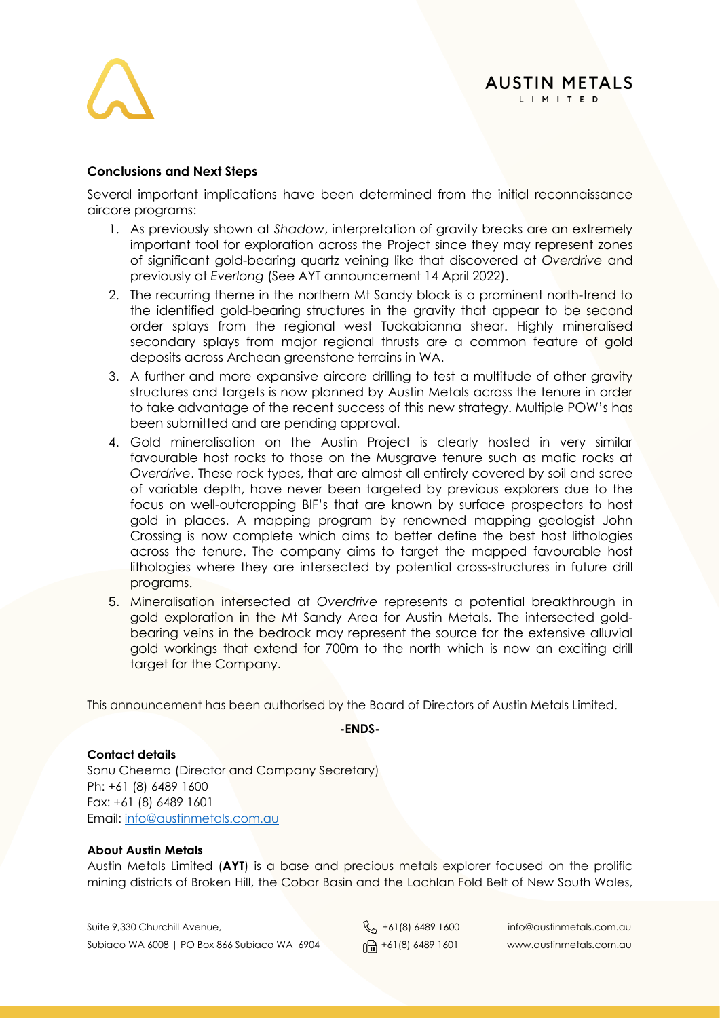

### **Conclusions and Next Steps**

Several important implications have been determined from the initial reconnaissance aircore programs:

- 1. As previously shown at *Shadow*, interpretation of gravity breaks are an extremely important tool for exploration across the Project since they may represent zones of significant gold-bearing quartz veining like that discovered at *Overdrive* and previously at *Everlong* (See AYT announcement 14 April 2022).
- 2. The recurring theme in the northern Mt Sandy block is a prominent north-trend to the identified gold-bearing structures in the gravity that appear to be second order splays from the regional west Tuckabianna shear. Highly mineralised secondary splays from major regional thrusts are a common feature of gold deposits across Archean greenstone terrains in WA.
- 3. A further and more expansive aircore drilling to test a multitude of other gravity structures and targets is now planned by Austin Metals across the tenure in order to take advantage of the recent success of this new strategy. Multiple POW's has been submitted and are pending approval.
- 4. Gold mineralisation on the Austin Project is clearly hosted in very similar favourable host rocks to those on the Musgrave tenure such as mafic rocks at *Overdrive*. These rock types, that are almost all entirely covered by soil and scree of variable depth, have never been targeted by previous explorers due to the focus on well-outcropping BIF's that are known by surface prospectors to host gold in places. A mapping program by renowned mapping geologist John Crossing is now complete which aims to better define the best host lithologies across the tenure. The company aims to target the mapped favourable host lithologies where they are intersected by potential cross-structures in future drill programs.
- 5. Mineralisation intersected at *Overdrive* represents a potential breakthrough in gold exploration in the Mt Sandy Area for Austin Metals. The intersected goldbearing veins in the bedrock may represent the source for the extensive alluvial gold workings that extend for 700m to the north which is now an exciting drill target for the Company.

This announcement has been authorised by the Board of Directors of Austin Metals Limited.

**-ENDS-**

#### **Contact details**

Sonu Cheema (Director and Company Secretary) Ph: +61 (8) 6489 1600 Fax: +61 (8) 6489 1601 Email: [info@austinmetals.com.au](mailto:info@austinmetals.com.au) 

#### **About Austin Metals**

Austin Metals Limited (**AYT**) is a base and precious metals explorer focused on the prolific mining districts of Broken Hill, the Cobar Basin and the Lachlan Fold Belt of New South Wales,

Suite 9,330 Churchill Avenue,  $\begin{matrix}8 \\ 101 \end{matrix}$  +61(8) 6489 1600 info@austinmetals.com.au Subiaco WA 6008 | PO Box 866 Subiaco WA 6904  $\frac{m}{m}$  +61(8) 6489 1601 www.austinmetals.com.au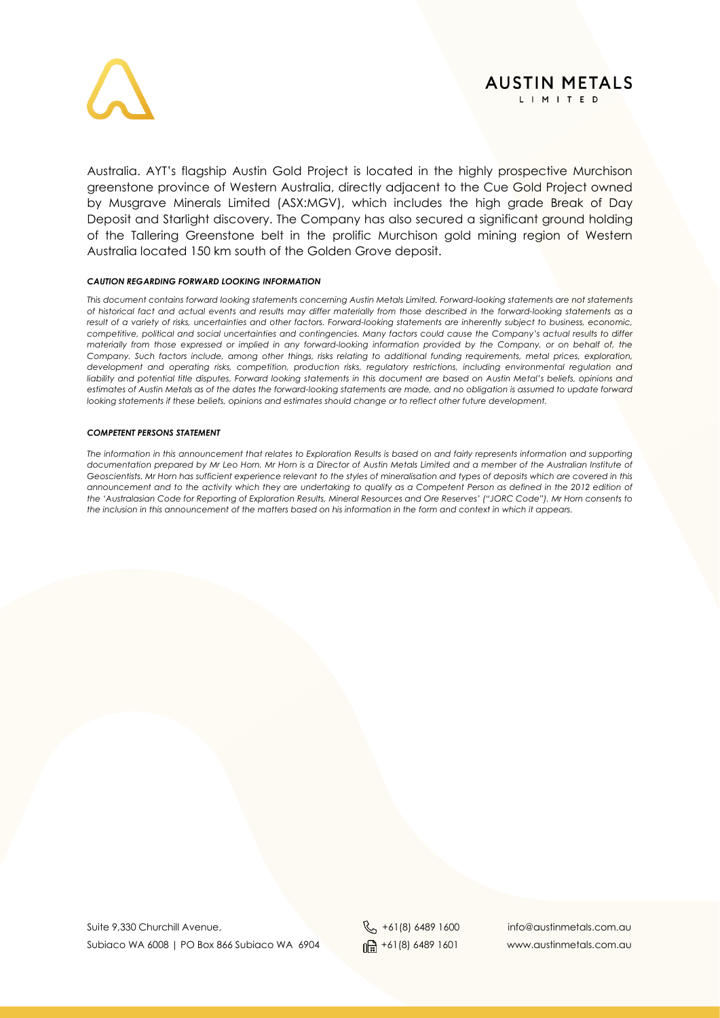

Australia. AYT's flagship Austin Gold Project is located in the highly prospective Murchison greenstone province of Western Australia, directly adjacent to the Cue Gold Project owned by Musgrave Minerals Limited (ASX:MGV), which includes the high grade Break of Day Deposit and Starlight discovery. The Company has also secured a significant ground holding of the Tallering Greenstone belt in the prolific Murchison gold mining region of Western Australia located 150 km south of the Golden Grove deposit.

#### *CAUTION REGARDING FORWARD LOOKING INFORMATION*

*This document contains forward looking statements concerning Austin Metals Limited. Forward-looking statements are not statements of historical fact and actual events and results may differ materially from those described in the forward-looking statements as a result of a variety of risks, uncertainties and other factors. Forward-looking statements are inherently subject to business, economic, competitive, political and social uncertainties and contingencies. Many factors could cause the Company's actual results to differ materially from those expressed or implied in any forward-looking information provided by the Company, or on behalf of, the Company. Such factors include, among other things, risks relating to additional funding requirements, metal prices, exploration, development and operating risks, competition, production risks, regulatory restrictions, including environmental regulation and*  liability and potential title disputes. Forward looking statements in this document are based on Austin Metal's beliefs, opinions and *estimates of Austin Metals as of the dates the forward-looking statements are made, and no obligation is assumed to update forward looking statements if these beliefs, opinions and estimates should change or to reflect other future development.*

#### *COMPETENT PERSONS STATEMENT*

*The information in this announcement that relates to Exploration Results is based on and fairly represents information and supporting documentation prepared by Mr Leo Horn. Mr Horn is a Director of Austin Metals Limited and a member of the Australian Institute of Geoscientists. Mr Horn has sufficient experience relevant to the styles of mineralisation and types of deposits which are covered in this announcement and to the activity which they are undertaking to qualify as a Competent Person as defined in the 2012 edition of the 'Australasian Code for Reporting of Exploration Results, Mineral Resources and Ore Reserves' ("JORC Code"). Mr Horn consents to the inclusion in this announcement of the matters based on his information in the form and context in which it appears.*

Suite 9,330 Churchill Avenue,  $\begin{matrix}8 \\ -101 \end{matrix}$  +61(8) 6489 1600 info@austinmetals.com.au Subiaco WA 6008 | PO Box 866 Subiaco WA 6904  $\lim_{\theta \to 0} +61(8)$  6489 1601 www.austinmetals.com.au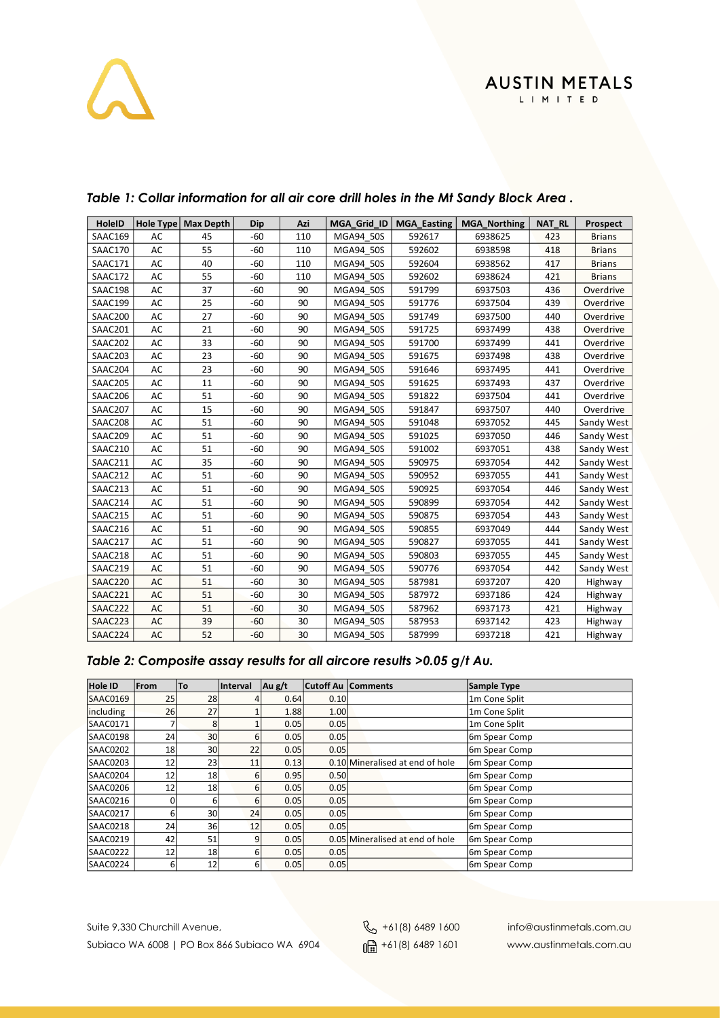# $\lambda$

| <b>HoleID</b>  | <b>Hole Type</b> | <b>Max Depth</b> | Dip   | Azi | MGA Grid ID | <b>MGA Easting</b> | <b>MGA Northing</b> | <b>NAT RL</b> | <b>Prospect</b> |
|----------------|------------------|------------------|-------|-----|-------------|--------------------|---------------------|---------------|-----------------|
| SAAC169        | AC               | 45               | $-60$ | 110 | MGA94 50S   | 592617             | 6938625             | 423           | <b>Brians</b>   |
| SAAC170        | AC               | 55               | $-60$ | 110 | MGA94 50S   | 592602             | 6938598             | 418           | <b>Brians</b>   |
| SAAC171        | AC               | 40               | $-60$ | 110 | MGA94 50S   | 592604             | 6938562             | 417           | <b>Brians</b>   |
| SAAC172        | AC               | 55               | $-60$ | 110 | MGA94_50S   | 592602             | 6938624             | 421           | <b>Brians</b>   |
| SAAC198        | AC               | 37               | $-60$ | 90  | MGA94 50S   | 591799             | 6937503             | 436           | Overdrive       |
| SAAC199        | AC               | 25               | $-60$ | 90  | MGA94 50S   | 591776             | 6937504             | 439           | Overdrive       |
| SAAC200        | AC               | 27               | $-60$ | 90  | MGA94 50S   | 591749             | 6937500             | 440           | Overdrive       |
| SAAC201        | AC               | 21               | $-60$ | 90  | MGA94 50S   | 591725             | 6937499             | 438           | Overdrive       |
| SAAC202        | AC               | 33               | $-60$ | 90  | MGA94 50S   | 591700             | 6937499             | 441           | Overdrive       |
| SAAC203        | AC               | 23               | $-60$ | 90  | MGA94 50S   | 591675             | 6937498             | 438           | Overdrive       |
| SAAC204        | AC               | 23               | $-60$ | 90  | MGA94 50S   | 591646             | 6937495             | 441           | Overdrive       |
| SAAC205        | AC               | 11               | $-60$ | 90  | MGA94 50S   | 591625             | 6937493             | 437           | Overdrive       |
| SAAC206        | AC               | 51               | $-60$ | 90  | MGA94_50S   | 591822             | 6937504             | 441           | Overdrive       |
| SAAC207        | AC               | 15               | $-60$ | 90  | MGA94 50S   | 591847             | 6937507             | 440           | Overdrive       |
| SAAC208        | AC               | 51               | $-60$ | 90  | MGA94 50S   | 591048             | 6937052             | 445           | Sandy West      |
| SAAC209        | AC               | 51               | $-60$ | 90  | MGA94 50S   | 591025             | 6937050             | 446           | Sandy West      |
| SAAC210        | AC               | 51               | $-60$ | 90  | MGA94 50S   | 591002             | 6937051             | 438           | Sandy West      |
| SAAC211        | AC               | 35               | $-60$ | 90  | MGA94 50S   | 590975             | 6937054             | 442           | Sandy West      |
| SAAC212        | AC               | 51               | $-60$ | 90  | MGA94 50S   | 590952             | 6937055             | 441           | Sandy West      |
| SAAC213        | AC               | 51               | $-60$ | 90  | MGA94 50S   | 590925             | 6937054             | 446           | Sandy West      |
| SAAC214        | AC               | 51               | $-60$ | 90  | MGA94 50S   | 590899             | 6937054             | 442           | Sandy West      |
| SAAC215        | AC               | 51               | $-60$ | 90  | MGA94 50S   | 590875             | 6937054             | 443           | Sandy West      |
| SAAC216        | AC               | 51               | $-60$ | 90  | MGA94 50S   | 590855             | 6937049             | 444           | Sandy West      |
| SAAC217        | AC               | 51               | $-60$ | 90  | MGA94 50S   | 590827             | 6937055             | 441           | Sandy West      |
| SAAC218        | AC               | 51               | $-60$ | 90  | MGA94 50S   | 590803             | 6937055             | 445           | Sandy West      |
| <b>SAAC219</b> | AC               | 51               | $-60$ | 90  | MGA94 50S   | 590776             | 6937054             | 442           | Sandy West      |
| SAAC220        | AC               | 51               | $-60$ | 30  | MGA94 50S   | 587981             | 6937207             | 420           | Highway         |
| SAAC221        | AC               | 51               | $-60$ | 30  | MGA94 50S   | 587972             | 6937186             | 424           | Highway         |
| SAAC222        | AC               | 51               | $-60$ | 30  | MGA94 50S   | 587962             | 6937173             | 421           | Highway         |
| SAAC223        | AC               | 39               | -60   | 30  | MGA94 50S   | 587953             | 6937142             | 423           | Highway         |
| SAAC224        | AC               | 52               | $-60$ | 30  | MGA94 50S   | 587999             | 6937218             | 421           | Highway         |

### *Table 1: Collar information for all air core drill holes in the Mt Sandy Block Area .*

### *Table 2: Composite assay results for all aircore results >0.05 g/t Au.*

| <b>Hole ID</b> | From | <b>To</b>       | Interval | $\vert$ Au g/t |      | <b>Cutoff Au Comments</b>       | Sample Type               |
|----------------|------|-----------------|----------|----------------|------|---------------------------------|---------------------------|
| SAAC0169       | 25   | 28              |          | 0.64           | 0.10 |                                 | 1m Cone Split             |
| including      | 26   | 27              |          | 1.88           | 1.00 |                                 | 1m Cone Split             |
| SAAC0171       |      | 8               |          | 0.05           | 0.05 |                                 | 1m Cone Split             |
| SAAC0198       | 24   | 30 <sup>1</sup> | 6        | 0.05           | 0.05 |                                 | 6 <sub>m</sub> Spear Comp |
| SAAC0202       | 18   | 30 <sup>1</sup> | 22       | 0.05           | 0.05 |                                 | 6m Spear Comp             |
| SAAC0203       | 12   | 23              | 11       | 0.13           |      | 0.10 Mineralised at end of hole | 6 <sub>m</sub> Spear Comp |
| SAAC0204       | 12   | 18              | $6 \mid$ | 0.95           | 0.50 |                                 | 6m Spear Comp             |
| SAAC0206       | 12   | 18              | 6        | 0.05           | 0.05 |                                 | 6 <sub>m</sub> Spear Comp |
| SAAC0216       | 0    | 6               | $6 \mid$ | 0.05           | 0.05 |                                 | 6m Spear Comp             |
| SAAC0217       | 6    | 30 <sup>1</sup> | 24       | 0.05           | 0.05 |                                 | 6m Spear Comp             |
| SAAC0218       | 24   | 36              | 12       | 0.05           | 0.05 |                                 | 6m Spear Comp             |
| SAAC0219       | 42   | 51              | 9        | 0.05           |      | 0.05 Mineralised at end of hole | 6 <sub>m</sub> Spear Comp |
| SAAC0222       | 12   | 18              | 6        | 0.05           | 0.05 |                                 | 6m Spear Comp             |
| SAAC0224       | 6    | 12              | 6        | 0.05           | 0.05 |                                 | 6m Spear Comp             |

Suite 9,330 Churchill Avenue, etc. Australian Communication Communication Communication Communication Communication Communication Communication Communication Communication Communication Communication Communication Communic Subiaco WA 6008 | PO Box 866 Subiaco WA 6904  $\frac{1}{\ln 2}$  +61(8) 6489 1601 www.austinmetals.com.au

**AUSTIN METALS** LIMITED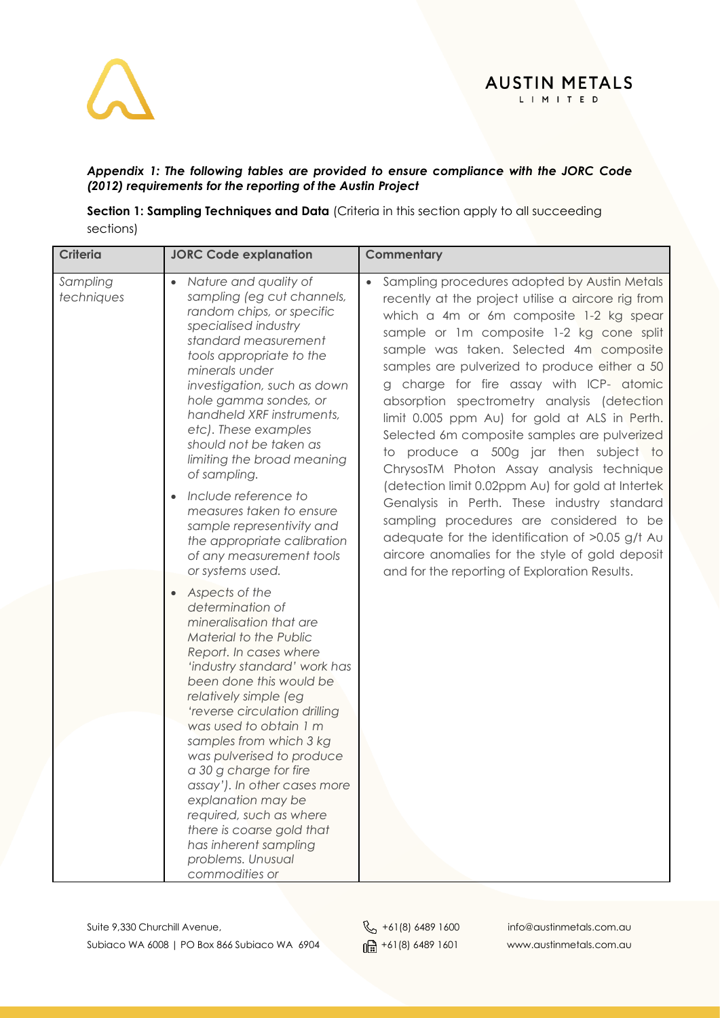

### *Appendix 1: The following tables are provided to ensure compliance with the JORC Code (2012) requirements for the reporting of the Austin Project*

**Section 1: Sampling Techniques and Data** (Criteria in this section apply to all succeeding sections)

| <b>Criteria</b>        | <b>JORC Code explanation</b>                                                                                                                                                                                                                                                                                                                                                                                                                                                                                                                                      | Commentary                                                                                                                                                                                                                                                                                                                                                                                                                                                                                                                                                                                                                                                                                                                                                                                                                      |
|------------------------|-------------------------------------------------------------------------------------------------------------------------------------------------------------------------------------------------------------------------------------------------------------------------------------------------------------------------------------------------------------------------------------------------------------------------------------------------------------------------------------------------------------------------------------------------------------------|---------------------------------------------------------------------------------------------------------------------------------------------------------------------------------------------------------------------------------------------------------------------------------------------------------------------------------------------------------------------------------------------------------------------------------------------------------------------------------------------------------------------------------------------------------------------------------------------------------------------------------------------------------------------------------------------------------------------------------------------------------------------------------------------------------------------------------|
| Sampling<br>techniques | Nature and quality of<br>$\bullet$<br>sampling (eg cut channels,<br>random chips, or specific<br>specialised industry<br>standard measurement<br>tools appropriate to the<br>minerals under<br>investigation, such as down<br>hole gamma sondes, or<br>handheld XRF instruments,<br>etc). These examples<br>should not be taken as<br>limiting the broad meaning<br>of sampling.<br>Include reference to<br>measures taken to ensure<br>sample representivity and<br>the appropriate calibration<br>of any measurement tools                                      | • Sampling procedures adopted by Austin Metals<br>recently at the project utilise a aircore rig from<br>which a 4m or 6m composite 1-2 kg spear<br>sample or 1m composite 1-2 kg cone split<br>sample was taken. Selected 4m composite<br>samples are pulverized to produce either a 50<br>g charge for fire assay with ICP- atomic<br>absorption spectrometry analysis (detection<br>limit 0.005 ppm Au) for gold at ALS in Perth.<br>Selected 6m composite samples are pulverized<br>to produce a 500g jar then subject to<br>ChrysosTM Photon Assay analysis technique<br>(detection limit 0.02ppm Au) for gold at Intertek<br>Genalysis in Perth. These industry standard<br>sampling procedures are considered to be<br>adequate for the identification of >0.05 g/t Au<br>aircore anomalies for the style of gold deposit |
|                        | or systems used.<br>Aspects of the<br>$\bullet$<br>determination of<br>mineralisation that are<br>Material to the Public<br>Report. In cases where<br>'industry standard' work has<br>been done this would be<br>relatively simple (eg<br>'reverse circulation drilling<br>was used to obtain 1 m<br>samples from which 3 kg<br>was pulverised to produce<br>a 30 g charge for fire<br>assay'). In other cases more<br>explanation may be<br>required, such as where<br>there is coarse gold that<br>has inherent sampling<br>problems. Unusual<br>commodities or | and for the reporting of Exploration Results.                                                                                                                                                                                                                                                                                                                                                                                                                                                                                                                                                                                                                                                                                                                                                                                   |

Suite 9,330 Churchill Avenue,  $\&$  +61(8) 6489 1600 info@austinmetals.com.au Subiaco WA 6008 | PO Box 866 Subiaco WA 6904  $\frac{1}{\ln 2}$  +61(8) 6489 1601 www.austinmetals.com.au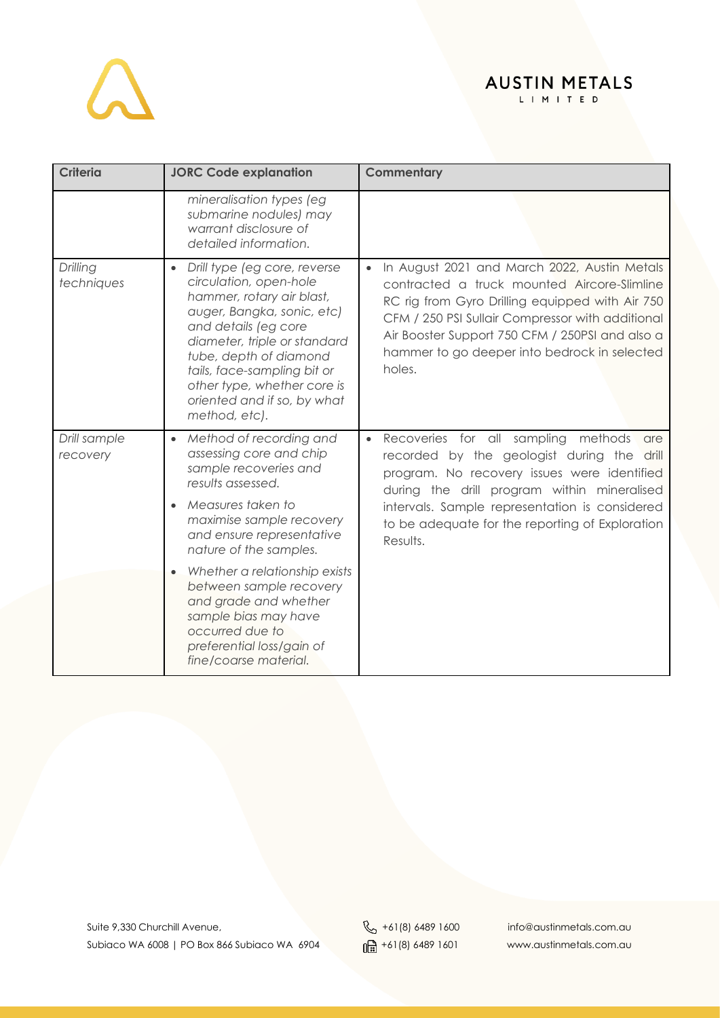

| <b>Criteria</b>          | <b>JORC Code explanation</b>                                                                                                                                                                                                                                                                                                   | <b>Commentary</b>                                                                                                                                                                                                                                                                                                       |
|--------------------------|--------------------------------------------------------------------------------------------------------------------------------------------------------------------------------------------------------------------------------------------------------------------------------------------------------------------------------|-------------------------------------------------------------------------------------------------------------------------------------------------------------------------------------------------------------------------------------------------------------------------------------------------------------------------|
|                          | mineralisation types (eg<br>submarine nodules) may<br>warrant disclosure of<br>detailed information.                                                                                                                                                                                                                           |                                                                                                                                                                                                                                                                                                                         |
| Drilling<br>techniques   | Drill type (eg core, reverse<br>$\bullet$<br>circulation, open-hole<br>hammer, rotary air blast,<br>auger, Bangka, sonic, etc)<br>and details (eg core<br>diameter, triple or standard<br>tube, depth of diamond<br>tails, face-sampling bit or<br>other type, whether core is<br>oriented and if so, by what<br>method, etc). | In August 2021 and March 2022, Austin Metals<br>contracted a truck mounted Aircore-Slimline<br>RC rig from Gyro Drilling equipped with Air 750<br>CFM / 250 PSI Sullair Compressor with additional<br>Air Booster Support 750 CFM / 250PSI and also a<br>hammer to go deeper into bedrock in selected<br>holes.         |
| Drill sample<br>recovery | Method of recording and<br>$\bullet$<br>assessing core and chip<br>sample recoveries and<br>results assessed.<br>Measures taken to<br>maximise sample recovery<br>and ensure representative<br>nature of the samples.                                                                                                          | Recoveries for all sampling<br>methods<br>$\bullet$<br>are<br>recorded by the geologist during the drill<br>program. No recovery issues were identified<br>during the drill program within mineralised<br>intervals. Sample representation is considered<br>to be adequate for the reporting of Exploration<br>Results. |
|                          | Whether a relationship exists<br>between sample recovery<br>and grade and whether<br>sample bias may have<br>occurred due to<br>preferential loss/gain of<br>fine/coarse material.                                                                                                                                             |                                                                                                                                                                                                                                                                                                                         |

Suite 9,330 Churchill Avenue,<br>Subiaco WA 6008 | PO Box 866 Subiaco WA 6904 | 161 (8) 6489 1601 info@austinmetals.com.au Subiaco WA 6008 | PO Box 866 Subiaco WA 6904  $\frac{1}{\ln 2}$  +61(8) 6489 1601 www.austinmetals.com.au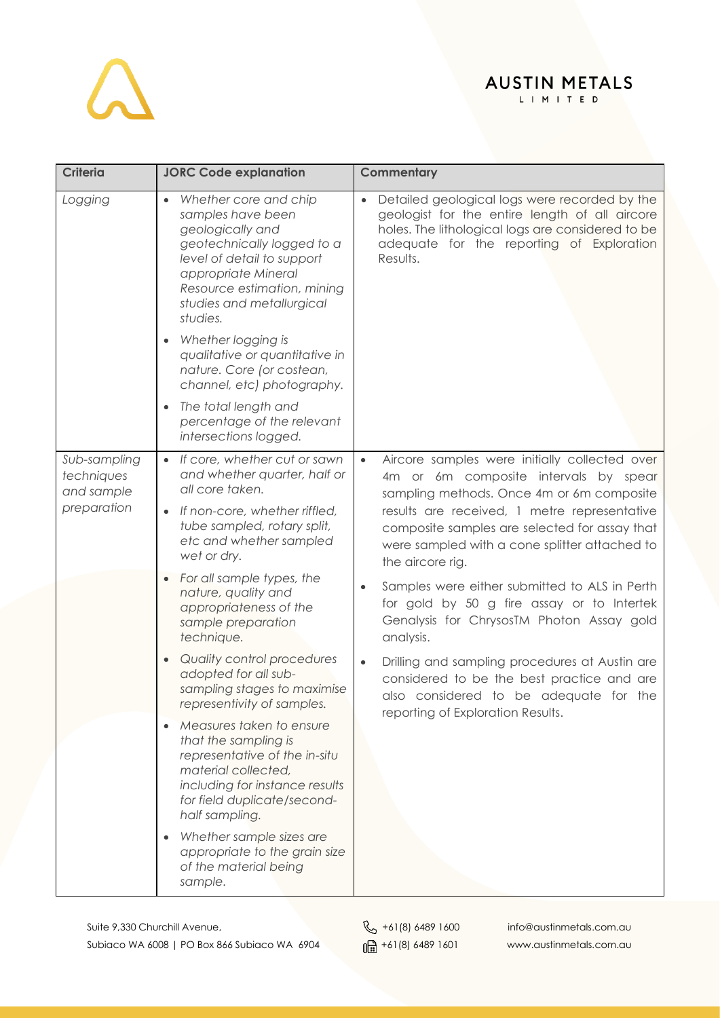

| <b>Criteria</b>                                         | <b>JORC Code explanation</b>                                                                                                                                                                                                                                              | Commentary                                                                                                                                                                                                                 |
|---------------------------------------------------------|---------------------------------------------------------------------------------------------------------------------------------------------------------------------------------------------------------------------------------------------------------------------------|----------------------------------------------------------------------------------------------------------------------------------------------------------------------------------------------------------------------------|
| Logging                                                 | Whether core and chip<br>$\bullet$<br>samples have been<br>geologically and<br>geotechnically logged to a<br>level of detail to support<br>appropriate Mineral<br>Resource estimation, mining<br>studies and metallurgical<br>studies.<br>Whether logging is<br>$\bullet$ | Detailed geological logs were recorded by the<br>$\bullet$<br>geologist for the entire length of all aircore<br>holes. The lithological logs are considered to be<br>adequate for the reporting of Exploration<br>Results. |
|                                                         | qualitative or quantitative in<br>nature. Core (or costean,<br>channel, etc) photography.                                                                                                                                                                                 |                                                                                                                                                                                                                            |
|                                                         | The total length and<br>$\bullet$<br>percentage of the relevant<br>intersections logged.                                                                                                                                                                                  |                                                                                                                                                                                                                            |
| Sub-sampling<br>techniques<br>and sample<br>preparation | If core, whether cut or sawn<br>$\bullet$<br>and whether quarter, half or<br>all core taken.                                                                                                                                                                              | Aircore samples were initially collected over<br>$\bullet$<br>4m or 6m composite intervals by spear<br>sampling methods. Once 4m or 6m composite                                                                           |
|                                                         | If non-core, whether riffled,<br>tube sampled, rotary split,<br>etc and whether sampled<br>wet or dry.                                                                                                                                                                    | results are received, 1 metre representative<br>composite samples are selected for assay that<br>were sampled with a cone splitter attached to<br>the aircore rig.                                                         |
|                                                         | For all sample types, the<br>nature, quality and<br>appropriateness of the<br>sample preparation<br>technique.                                                                                                                                                            | Samples were either submitted to ALS in Perth<br>for gold by 50 g fire assay or to Intertek<br>Genalysis for ChrysosTM Photon Assay gold<br>analysis.                                                                      |
|                                                         | Quality control procedures<br>$\bullet$<br>adopted for all sub-<br>sampling stages to maximise<br>representivity of samples.                                                                                                                                              | Drilling and sampling procedures at Austin are<br>$\bullet$<br>considered to be the best practice and are<br>also considered to be adequate for the<br>reporting of Exploration Results.                                   |
|                                                         | Measures taken to ensure<br>$\bullet$<br>that the sampling is<br>representative of the in-situ<br>material collected,<br>including for instance results<br>for field duplicate/second-<br>half sampling.                                                                  |                                                                                                                                                                                                                            |
|                                                         | Whether sample sizes are<br>appropriate to the grain size<br>of the material being<br>sample.                                                                                                                                                                             |                                                                                                                                                                                                                            |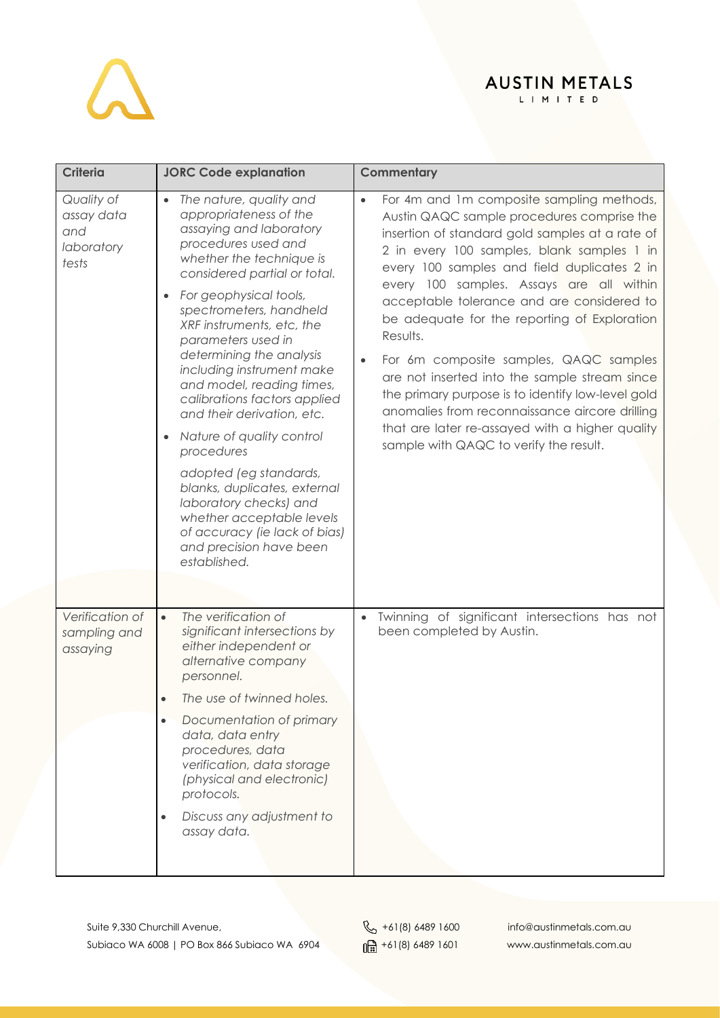## $\Delta$

### AUSTIN METALS

| <b>Criteria</b>                                        | <b>JORC Code explanation</b>                                                                                                                                                                                                                                                                                                                                                                                                                                                                                                                                                                                                                                                     | Commentary                                                                                                                                                                                                                                                                                                                                                                                                                                                                                                                                                                                                                                                                                                |
|--------------------------------------------------------|----------------------------------------------------------------------------------------------------------------------------------------------------------------------------------------------------------------------------------------------------------------------------------------------------------------------------------------------------------------------------------------------------------------------------------------------------------------------------------------------------------------------------------------------------------------------------------------------------------------------------------------------------------------------------------|-----------------------------------------------------------------------------------------------------------------------------------------------------------------------------------------------------------------------------------------------------------------------------------------------------------------------------------------------------------------------------------------------------------------------------------------------------------------------------------------------------------------------------------------------------------------------------------------------------------------------------------------------------------------------------------------------------------|
| Quality of<br>assay data<br>and<br>laboratory<br>tests | The nature, quality and<br>appropriateness of the<br>assaying and laboratory<br>procedures used and<br>whether the technique is<br>considered partial or total.<br>For geophysical tools,<br>$\bullet$<br>spectrometers, handheld<br>XRF instruments, etc, the<br>parameters used in<br>determining the analysis<br>including instrument make<br>and model, reading times,<br>calibrations factors applied<br>and their derivation, etc.<br>Nature of quality control<br>procedures<br>adopted (eg standards,<br>blanks, duplicates, external<br>laboratory checks) and<br>whether acceptable levels<br>of accuracy (ie lack of bias)<br>and precision have been<br>established. | For 4m and 1m composite sampling methods,<br>$\bullet$<br>Austin QAQC sample procedures comprise the<br>insertion of standard gold samples at a rate of<br>2 in every 100 samples, blank samples 1 in<br>every 100 samples and field duplicates 2 in<br>every 100 samples. Assays are all within<br>acceptable tolerance and are considered to<br>be adequate for the reporting of Exploration<br>Results.<br>For 6m composite samples, QAQC samples<br>are not inserted into the sample stream since<br>the primary purpose is to identify low-level gold<br>anomalies from reconnaissance aircore drilling<br>that are later re-assayed with a higher quality<br>sample with QAQC to verify the result. |
| Verification of<br>sampling and<br>assaying            | The verification of<br>$\bullet$<br>significant intersections by<br>either independent or<br>alternative company<br>personnel.<br>The use of twinned holes.<br>$\bullet$<br>Documentation of primary<br>$\bullet$<br>data, data entry<br>procedures, data<br>verification, data storage<br>(physical and electronic)<br>protocols.<br>Discuss any adjustment to<br>assay data.                                                                                                                                                                                                                                                                                                   | Twinning of significant intersections has not<br>$\bullet$<br>been completed by Austin.                                                                                                                                                                                                                                                                                                                                                                                                                                                                                                                                                                                                                   |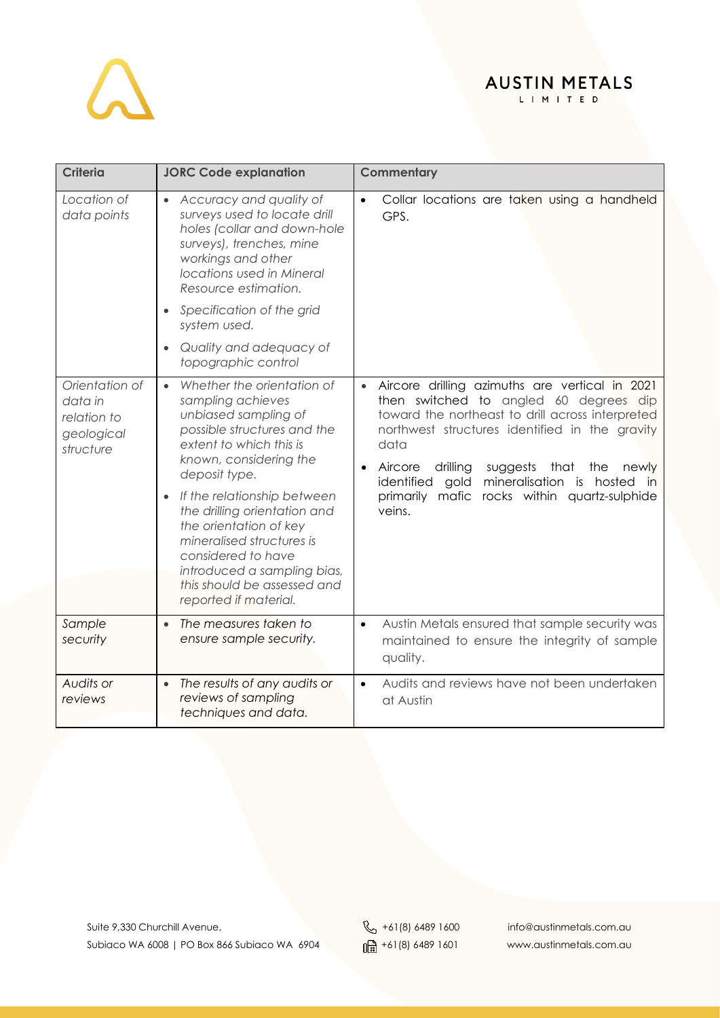

| <b>Criteria</b>                                                     | <b>JORC Code explanation</b>                                                                                                                                                                                                                                                                                                                                                                                                              | Commentary                                                                                                                                                                                                                                                                                                                                                                                    |
|---------------------------------------------------------------------|-------------------------------------------------------------------------------------------------------------------------------------------------------------------------------------------------------------------------------------------------------------------------------------------------------------------------------------------------------------------------------------------------------------------------------------------|-----------------------------------------------------------------------------------------------------------------------------------------------------------------------------------------------------------------------------------------------------------------------------------------------------------------------------------------------------------------------------------------------|
| Location of<br>data points                                          | • Accuracy and quality of<br>surveys used to locate drill<br>holes (collar and down-hole<br>surveys), trenches, mine<br>workings and other<br>locations used in Mineral<br>Resource estimation.<br>Specification of the grid<br>$\bullet$<br>system used.<br>Quality and adequacy of<br>$\bullet$<br>topographic control                                                                                                                  | Collar locations are taken using a handheld<br>GPS.                                                                                                                                                                                                                                                                                                                                           |
| Orientation of<br>data in<br>relation to<br>geological<br>structure | Whether the orientation of<br>$\bullet$<br>sampling achieves<br>unbiased sampling of<br>possible structures and the<br>extent to which this is<br>known, considering the<br>deposit type.<br>If the relationship between<br>$\bullet$<br>the drilling orientation and<br>the orientation of key<br>mineralised structures is<br>considered to have<br>introduced a sampling bias,<br>this should be assessed and<br>reported if material. | Aircore drilling azimuths are vertical in 2021<br>then switched to angled 60 degrees dip<br>toward the northeast to drill across interpreted<br>northwest structures identified in the gravity<br>data<br>Aircore<br>drilling<br>suggests<br>that<br>the<br>newly<br>$\bullet$<br>identified<br>gold mineralisation is<br>hosted in<br>primarily mafic rocks within quartz-sulphide<br>veins. |
| Sample<br>security                                                  | The measures taken to<br>$\bullet$<br>ensure sample security.                                                                                                                                                                                                                                                                                                                                                                             | Austin Metals ensured that sample security was<br>$\bullet$<br>maintained to ensure the integrity of sample<br>quality.                                                                                                                                                                                                                                                                       |
| Audits or<br>reviews                                                | The results of any audits or<br>$\bullet$<br>reviews of sampling<br>techniques and data.                                                                                                                                                                                                                                                                                                                                                  | Audits and reviews have not been undertaken<br>$\bullet$<br>at Austin                                                                                                                                                                                                                                                                                                                         |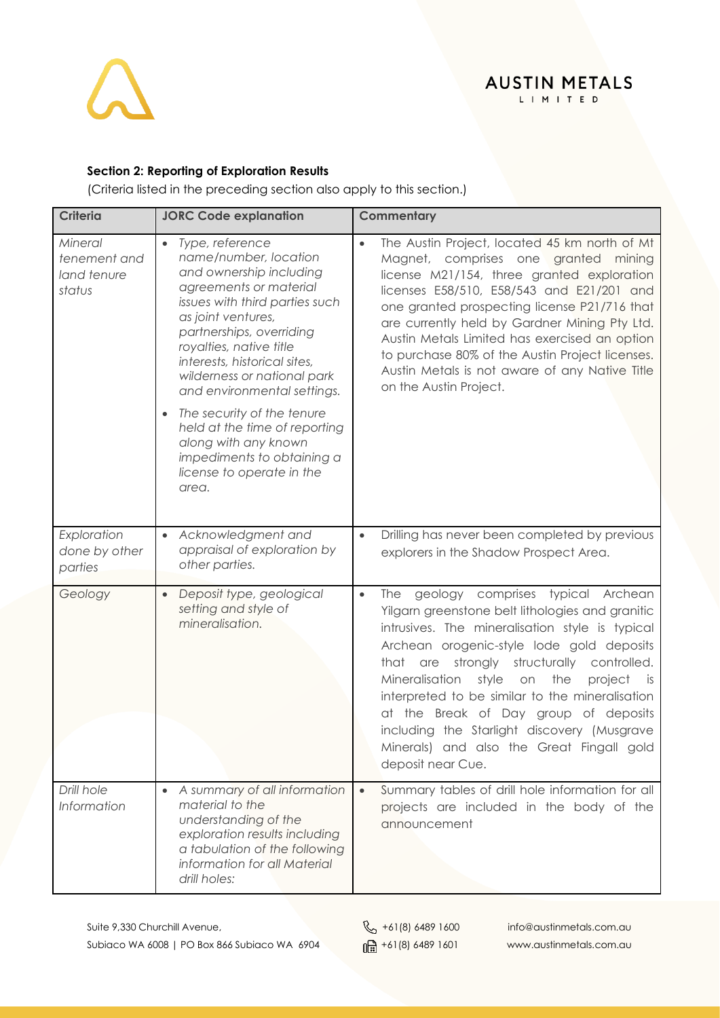

### **AUSTIN METALS** LIMITED

### **Section 2: Reporting of Exploration Results**

(Criteria listed in the preceding section also apply to this section.)

| <b>Criteria</b>                                  | <b>JORC Code explanation</b>                                                                                                                                                                                                                                                                                            | Commentary                                                                                                                                                                                                                                                                                                                                                                                                                                                                                                                          |
|--------------------------------------------------|-------------------------------------------------------------------------------------------------------------------------------------------------------------------------------------------------------------------------------------------------------------------------------------------------------------------------|-------------------------------------------------------------------------------------------------------------------------------------------------------------------------------------------------------------------------------------------------------------------------------------------------------------------------------------------------------------------------------------------------------------------------------------------------------------------------------------------------------------------------------------|
| Mineral<br>tenement and<br>land tenure<br>status | Type, reference<br>$\bullet$<br>name/number, location<br>and ownership including<br>agreements or material<br>issues with third parties such<br>as joint ventures,<br>partnerships, overriding<br>royalties, native title<br>interests, historical sites,<br>wilderness or national park<br>and environmental settings. | The Austin Project, located 45 km north of Mt<br>$\bullet$<br>Magnet, comprises one granted mining<br>license M21/154, three granted exploration<br>licenses E58/510, E58/543 and E21/201 and<br>one granted prospecting license P21/716 that<br>are currently held by Gardner Mining Pty Ltd.<br>Austin Metals Limited has exercised an option<br>to purchase 80% of the Austin Project licenses.<br>Austin Metals is not aware of any Native Title<br>on the Austin Project.                                                      |
|                                                  | The security of the tenure<br>$\bullet$<br>held at the time of reporting<br>along with any known<br>impediments to obtaining a<br>license to operate in the<br>area.                                                                                                                                                    |                                                                                                                                                                                                                                                                                                                                                                                                                                                                                                                                     |
| Exploration<br>done by other<br>parties          | Acknowledgment and<br>appraisal of exploration by<br>other parties.                                                                                                                                                                                                                                                     | Drilling has never been completed by previous<br>$\bullet$<br>explorers in the Shadow Prospect Area.                                                                                                                                                                                                                                                                                                                                                                                                                                |
| Geology                                          | Deposit type, geological<br>$\bullet$<br>setting and style of<br>mineralisation.                                                                                                                                                                                                                                        | geology comprises typical Archean<br>The<br>$\bullet$<br>Yilgarn greenstone belt lithologies and granitic<br>intrusives. The mineralisation style is typical<br>Archean orogenic-style lode gold deposits<br>are strongly structurally controlled.<br>that<br>Mineralisation<br>style<br>on<br>the<br>project<br>is is<br>interpreted to be similar to the mineralisation<br>at the Break of Day group of deposits<br>including the Starlight discovery (Musgrave<br>Minerals) and also the Great Fingall gold<br>deposit near Cue. |
| Drill hole<br>Information                        | A summary of all information<br>material to the<br>understanding of the<br>exploration results including<br>a tabulation of the following<br>information for all Material<br>drill holes:                                                                                                                               | Summary tables of drill hole information for all<br>$\bullet$<br>projects are included in the body of the<br>announcement                                                                                                                                                                                                                                                                                                                                                                                                           |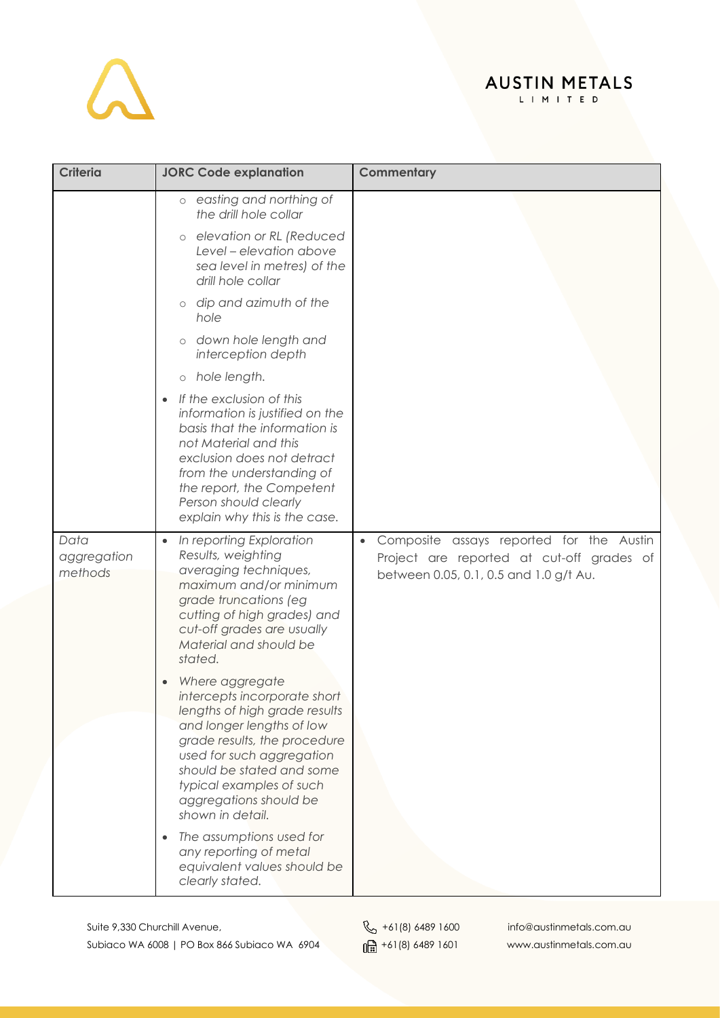## $\Delta$

## AUSTIN METALS

| <b>Criteria</b>                | <b>JORC Code explanation</b>                                                                                                                                                                                                                                                      | Commentary                                                                                                                                   |
|--------------------------------|-----------------------------------------------------------------------------------------------------------------------------------------------------------------------------------------------------------------------------------------------------------------------------------|----------------------------------------------------------------------------------------------------------------------------------------------|
|                                | o easting and northing of<br>the drill hole collar                                                                                                                                                                                                                                |                                                                                                                                              |
|                                | elevation or RL (Reduced<br>$\circ$<br>Level - elevation above<br>sea level in metres) of the<br>drill hole collar                                                                                                                                                                |                                                                                                                                              |
|                                | dip and azimuth of the<br>$\circ$<br>hole                                                                                                                                                                                                                                         |                                                                                                                                              |
|                                | down hole length and<br>$\circ$<br>interception depth                                                                                                                                                                                                                             |                                                                                                                                              |
|                                | o hole length.                                                                                                                                                                                                                                                                    |                                                                                                                                              |
|                                | If the exclusion of this<br>information is justified on the<br>basis that the information is<br>not Material and this<br>exclusion does not detract<br>from the understanding of<br>the report, the Competent<br>Person should clearly<br>explain why this is the case.           |                                                                                                                                              |
| Data<br>aggregation<br>methods | In reporting Exploration<br>$\bullet$<br>Results, weighting<br>averaging techniques,<br>maximum and/or minimum<br>grade truncations (eg<br>cutting of high grades) and<br>cut-off grades are usually<br>Material and should be<br>stated.                                         | Composite assays reported for the Austin<br>$\bullet$<br>Project are reported at cut-off grades of<br>between 0.05, 0.1, 0.5 and 1.0 g/t Au. |
|                                | Where aggregate<br>intercepts incorporate short<br>lengths of high grade results<br>and longer lengths of low<br>grade results, the procedure<br>used for such aggregation<br>should be stated and some<br>typical examples of such<br>aggregations should be<br>shown in detail. |                                                                                                                                              |
|                                | The assumptions used for<br>any reporting of metal<br>equivalent values should be<br>clearly stated.                                                                                                                                                                              |                                                                                                                                              |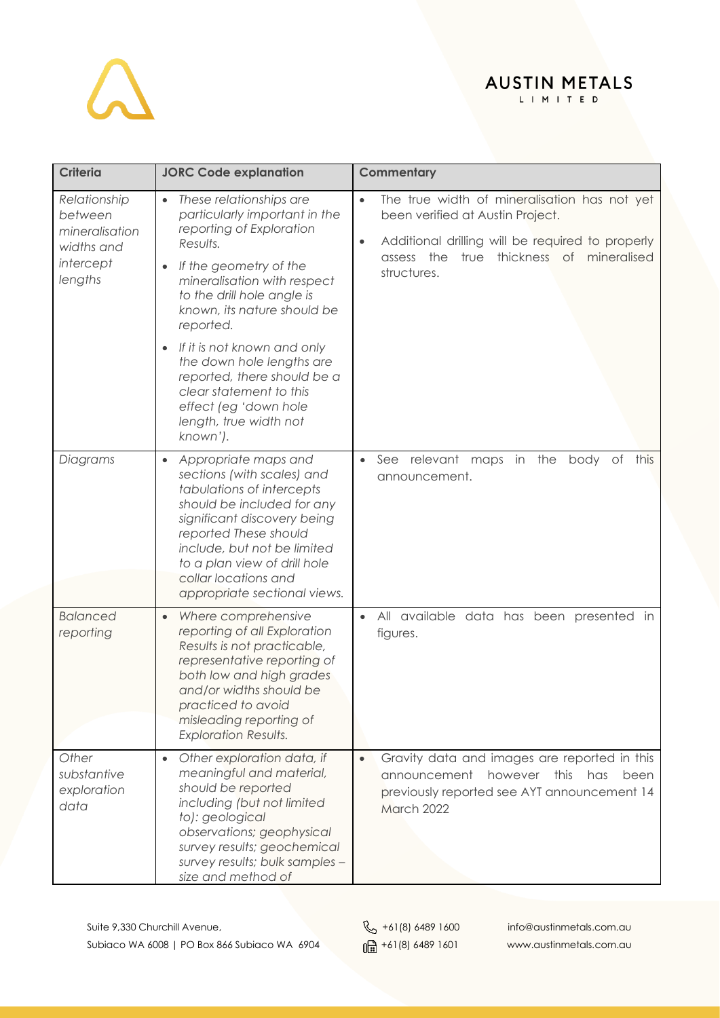## $\Delta$

### AUSTIN METALS

| <b>Criteria</b>                                                                 | <b>JORC Code explanation</b>                                                                                                                                                                                                                                                                                                                                                                                                          | Commentary                                                                                                                                                                                                                |
|---------------------------------------------------------------------------------|---------------------------------------------------------------------------------------------------------------------------------------------------------------------------------------------------------------------------------------------------------------------------------------------------------------------------------------------------------------------------------------------------------------------------------------|---------------------------------------------------------------------------------------------------------------------------------------------------------------------------------------------------------------------------|
| Relationship<br>between<br>mineralisation<br>widths and<br>intercept<br>lengths | These relationships are<br>$\bullet$<br>particularly important in the<br>reporting of Exploration<br>Results.<br>If the geometry of the<br>mineralisation with respect<br>to the drill hole angle is<br>known, its nature should be<br>reported.<br>If it is not known and only<br>the down hole lengths are<br>reported, there should be a<br>clear statement to this<br>effect (eg 'down hole<br>length, true width not<br>known'). | The true width of mineralisation has not yet<br>$\bullet$<br>been verified at Austin Project.<br>Additional drilling will be required to properly<br>$\bullet$<br>assess the true thickness of mineralised<br>structures. |
| Diagrams                                                                        | Appropriate maps and<br>$\bullet$<br>sections (with scales) and<br>tabulations of intercepts<br>should be included for any<br>significant discovery being<br>reported These should<br>include, but not be limited<br>to a plan view of drill hole<br>collar locations and<br>appropriate sectional views.                                                                                                                             | See relevant maps in the<br>body of<br>$\bullet$<br>this<br>announcement.                                                                                                                                                 |
| <b>Balanced</b><br>reporting                                                    | Where comprehensive<br>$\bullet$<br>reporting of all Exploration<br>Results is not practicable,<br>representative reporting of<br>both low and high grades<br>and/or widths should be<br>practiced to avoid<br>misleading reporting of<br><b>Exploration Results.</b>                                                                                                                                                                 | All available data has been presented in<br>$\bullet$<br>figures.                                                                                                                                                         |
| Other<br>substantive<br>exploration<br>data                                     | Other exploration data, if<br>meaningful and material,<br>should be reported<br>including (but not limited<br>to): geological<br>observations; geophysical<br>survey results; geochemical<br>survey results; bulk samples -<br>size and method of                                                                                                                                                                                     | Gravity data and images are reported in this<br>$\bullet$<br>however this<br>announcement<br>has<br>been<br>previously reported see AYT announcement 14<br>March 2022                                                     |